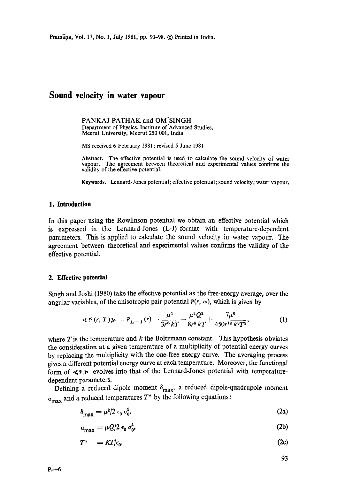# **Sound velocity in water vapour**

PANKAJ PATHAK and OM SINGH Department of Physics, Institute of'Advanced Studies, Meerut University, Meerut 250 001, India

MS received 6 February 1981; revised 5 June 1981

**Abstract.** The effective potential is used to calculate the sound velocity of water vapour. The agreement between theoretical and experimental values confirms the validity of the effective potential.

**Keywords.** Lennard-Jones potential; effective potential; sound velocity; water vapour.

#### **1. Introduction**

In this paper using the Rowlinson potential we obtain an effective potential which is expressed in the Lennard-Jones (L-J) format with temperature-dependent parameters. This is applied to calculate the sound velocity in water vapour. The agreement between theoretical and experimental values confirms the validity of the effective potential.

#### **2. Effective potential**

Singh and Joshi (1980) take the effective potential as the free-energy average, over the angular variables, of the anisotropic pair potential  $P(r, \omega)$ , which is given by

$$
\ll \varphi(r, T) \gg \; = \; \varphi_{L-1}(r) \quad \frac{\mu^4}{3r^6 kT} - \frac{\mu^2 Q^2}{8r^8 kT} + \frac{7\mu^8}{450r^{12} k^3T^3}, \tag{1}
$$

where  $T$  is the temperature and  $k$  the Boltzmann constant. This hypothesis obviates the consideration at a given temperature of a multiplicity of potential energy curves by replacing the multiplicity with the one-free energy curve. The averaging process gives a different potential energy curve at each temperature. Moreover, the functional form of  $\ll p \gg$  evolves into that of the Lennard-Jones potential with temperaturedependent parameters.

Defining a reduced dipole moment  $\delta_{\text{max}}$ , a reduced dipole-quadrupole moment  $a_{\text{max}}$  and a reduced temperatures  $T^*$  by the following equations:

$$
\delta_{\text{max}} = \mu^2 / 2 \epsilon_0 \sigma_0^3 \tag{2a}
$$

$$
a_{\text{max}} = \mu Q/2 \epsilon_0 \sigma_0^4,\tag{2b}
$$

$$
T^* = KT/\epsilon_0. \tag{2c}
$$

93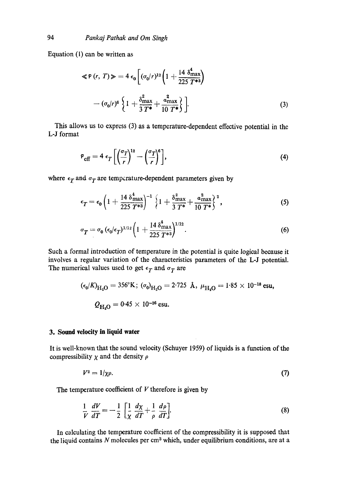Equation (1) can be written as

$$
\ll P(r, T) \gg 4 \epsilon_0 \left[ (\sigma_0/r)^{12} \left( 1 + \frac{14 \delta_{\text{max}}^4}{225 T^{*3}} \right) - (\sigma_0/r)^6 \left\{ 1 + \frac{\delta_{\text{max}}^2}{3 T^*} + \frac{\alpha_{\text{max}}^2}{10 T^*} \right\} \right].
$$
\n(3)

This allows us to express (3) as a temperature-dependent effective potential in the L-J format

$$
\mathcal{P}_{\text{eff}} = 4 \epsilon_T \left[ \left( \frac{\sigma_T}{r} \right)^{12} - \left( \frac{\sigma_T}{r} \right)^6 \right],\tag{4}
$$

where  $\epsilon_T$  and  $\sigma_T$  are temperature-dependent parameters given by

$$
\epsilon_T = \epsilon_0 \left( 1 + \frac{14 \delta_{\max}^4}{225 T^{*3}} \right)^{-1} \left\{ 1 + \frac{\delta_{\max}^2}{3 T^*} + \frac{a_{\max}^2}{10 T^*} \right\}^2, \tag{5}
$$

$$
\sigma_T = \sigma_0 \left( \epsilon_0 / \epsilon_T \right)^{1/12} \left( 1 + \frac{14 \delta_{\max}^4}{225 T^{*3}} \right)^{1/12} . \tag{6}
$$

Such a formal introduction of temperature in the potential is quite logical because it involves a regular variation of the characteristics parameters of the L-J potential. The numerical values used to get  $\epsilon_T$  and  $\sigma_T$  are

$$
(\epsilon_0/K)_{\text{H}_2\text{O}} = 356^\circ \text{K}; \ (\sigma_0)_{\text{H}_2\text{O}} = 2.725 \text{ \AA}, \ \mu_{\text{H}_2\text{O}} = 1.85 \times 10^{-18} \text{ esu},
$$
  

$$
Q_{\text{H}_2\text{O}} = 0.45 \times 10^{-26} \text{ esu}.
$$

## **3. Sound velocity in liquid water**

It is well-known that the sound velocity (Schuyer 1959) of liquids is a function of the compressibility  $\chi$  and the density  $\rho$ 

$$
V^2 = 1/\chi \rho. \tag{7}
$$

The temperature coefficient of  $V$  therefore is given by

$$
\frac{1}{V}\frac{dV}{dT} = -\frac{1}{2}\left[\frac{1}{\chi}\frac{d\chi}{dT} + \frac{1}{\rho}\frac{d\rho}{dT}\right].
$$
\n(8)

In calculating the temperature coefficient of the compressibility it is supposed that the liquid contains  $N$  molecules per cm<sup>3</sup> which, under equilibrium conditions, are at a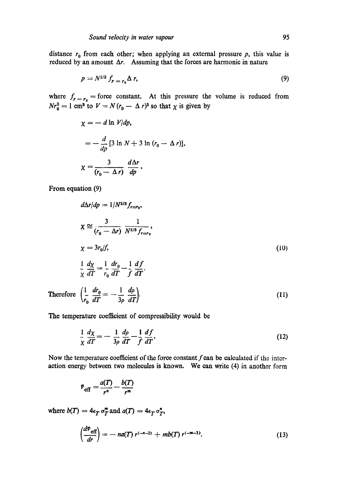distance  $r_0$  from each other; when applying an external pressure  $p$ , this value is reduced by an amount *Ar.* Assuming that the forces are harmonic in nature

$$
p = N^{2/3} f_{r = r_0} \Delta r, \tag{9}
$$

where  $f_{r=r_0}$  = force constant. At this pressure the volume is reduced from  $Nr_0^3 = 1$  cm<sup>3</sup> to  $V = N(r_0 - \Delta r)^3$  so that  $\chi$  is given by

$$
\chi = - d \ln V/dp,
$$
  
=  $-\frac{d}{dp} [3 \ln N + 3 \ln (r_0 - \Delta r)],$   

$$
\chi = \frac{3}{(r_0 - \Delta r)} \frac{d\Delta r}{dp}.
$$

From equation (9)

 $\sim$ 

$$
d\Delta r/dp = 1/N^{2/3} f_{r=r_0},
$$
\n
$$
\chi \cong \frac{3}{(r_0 - \Delta r)} \frac{1}{N^{2/3} f_{r=r_0}},
$$
\n
$$
\chi = 3r_0/f,
$$
\n
$$
\frac{1}{\chi} \frac{d\chi}{dT} = \frac{1}{r_0} \frac{dr_0}{dT} - \frac{1}{f} \frac{df}{dT}.
$$
\nTherefore\n
$$
\left(\frac{1}{r_0} \frac{dr_0}{dT} = -\frac{1}{3\rho} \frac{d\rho}{dT}\right).
$$
\n(11)

The temperature coefficient of compressibility would be

$$
\frac{1}{\chi}\frac{d\chi}{dT} = -\frac{1}{3\rho}\frac{d\rho}{dT} - \frac{1}{f}\frac{df}{dT}.
$$
\n(12)

Now the temperature coefficient of the force constant  $f$  can be calculated if the interaction energy between two molecules is known. We can write (4) in another form

$$
P_{\text{eff}} = \frac{a(T)}{r^n} - \frac{b(T)}{r^m}
$$

where  $b(T) = 4\epsilon_T \sigma_T^m$  and  $a(T) = 4\epsilon_T \sigma_T^n$ ,

$$
\left(\frac{d^{p} \text{eff}}{dr}\right) = -na(T) r^{(-n-1)} + mb(T) r^{(-m-1)}.
$$
 (13)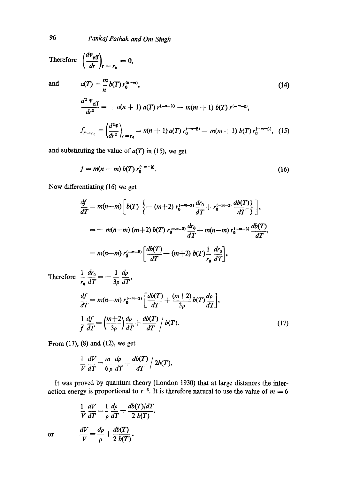96 *Pankaj Pathak and Om Singh* 

Therefore  $\left(\frac{dP_{\text{eff}}}{dr}\right)_{r = r_0} = 0$ ,

and 
$$
a(T) = \frac{m}{n} b(T) r_0^{(n-m)},
$$
 (14)  

$$
\frac{d^2 P_{\text{eff}}}{dr^2} = + n(n+1) a(T) r^{(-n-2)} - m(m+1) b(T) r^{(-m-2)},
$$
  

$$
f_{r-r_0} = \left(\frac{d^2 P}{dr^2}\right)_{r=r_0} = n(n+1) a(T) r_0^{(-n-2)} - m(m+1) b(T) r_0^{(-m-2)},
$$
 (15)

and substituting the value of  $a(T)$  in (15), we get

$$
f = m(n - m) b(T) r_0^{(-m-2)}.
$$
 (16)

Now differentiating (16) we get

$$
\frac{df}{dT} = m(n-m) \left[ b(T) \left\{ - (m+2) r_0^{(-m-3)} \frac{dr_0}{dT} + r_0^{(-m-2)} \frac{db(T)}{dT} \right\} \right],
$$
  
\n
$$
= -m(n-m) (m+2) b(T) r_0^{(-m-3)} \frac{dr_0}{dT} + m(n-m) r_0^{(-m-2)} \frac{db(T)}{dT},
$$
  
\n
$$
= m(n-m) r_0^{(-m-2)} \left[ \frac{db(T)}{dT} - (m+2) b(T) \frac{1}{r_0} \frac{dr_0}{dT} \right].
$$
  
\nTherefore  $\frac{1}{r_0} \frac{dr_0}{dT} = -\frac{1}{3\rho} \frac{d\rho}{dT},$   
\n
$$
\frac{df}{dT} = m(n-m) r_0^{(-m-2)} \left[ \frac{db(T)}{dT} + \frac{(m+2)}{dT} b(T) \frac{d\rho}{dT} \right].
$$

$$
\frac{d}{d}T \qquad \qquad \left[ dT \qquad 3\rho \qquad d\\ T \right]'
$$
\n
$$
\frac{1}{f} \frac{df}{dT} = \left( \frac{m+2}{3\rho} \right) \frac{d\rho}{dT} + \frac{db(T)}{dT} / b(T). \tag{17}
$$

From (17), (8) and (12), we get

$$
\frac{1}{V}\frac{dV}{dT}=\frac{m}{6\rho}\frac{d\rho}{dT}+\frac{db(T)}{dT}\bigg/2b(T).
$$

It was proved by quantum theory (London 1930) that at large distances the interaction energy is proportional to  $r^{-6}$ . It is therefore natural to use the value of  $m = 6$ 

$$
\frac{1}{V}\frac{dV}{dT} = \frac{1}{\rho}\frac{d\rho}{dT} + \frac{db(T)/dT}{2 b(T)},
$$

$$
\frac{dV}{V} = \frac{d\rho}{\rho} + \frac{db(T)}{2 b(T)}.
$$

or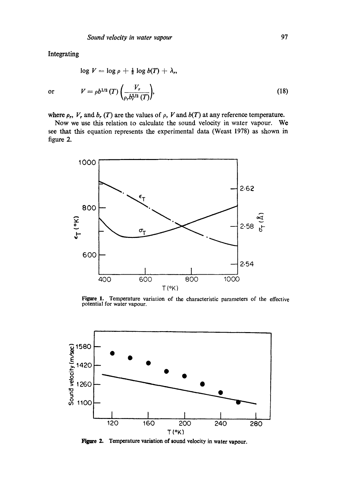Integrating

$$
\log V = \log \rho + \frac{1}{2} \log b(T) + \lambda_r,
$$
  
or 
$$
V = \rho b^{1/2} (T) \left( \frac{V_r}{\rho_r b_r^{1/2} (T)} \right),
$$
 (18)

where  $\rho_r$ ,  $V_r$  and  $b_r$  (T) are the values of  $\rho$ , V and  $b(T)$  at any reference temperature.

Now we use this relation to calculate the sound velocity in water vapour. We see that this equation represents the experimental data (Weast 1978) as shown in figure 2.



**Figure 1.** Temperature variation of the characteristic parameters of the effective potential for water vapour.



**Figure 2. Temperature variation of sound velocity in water vapour.**